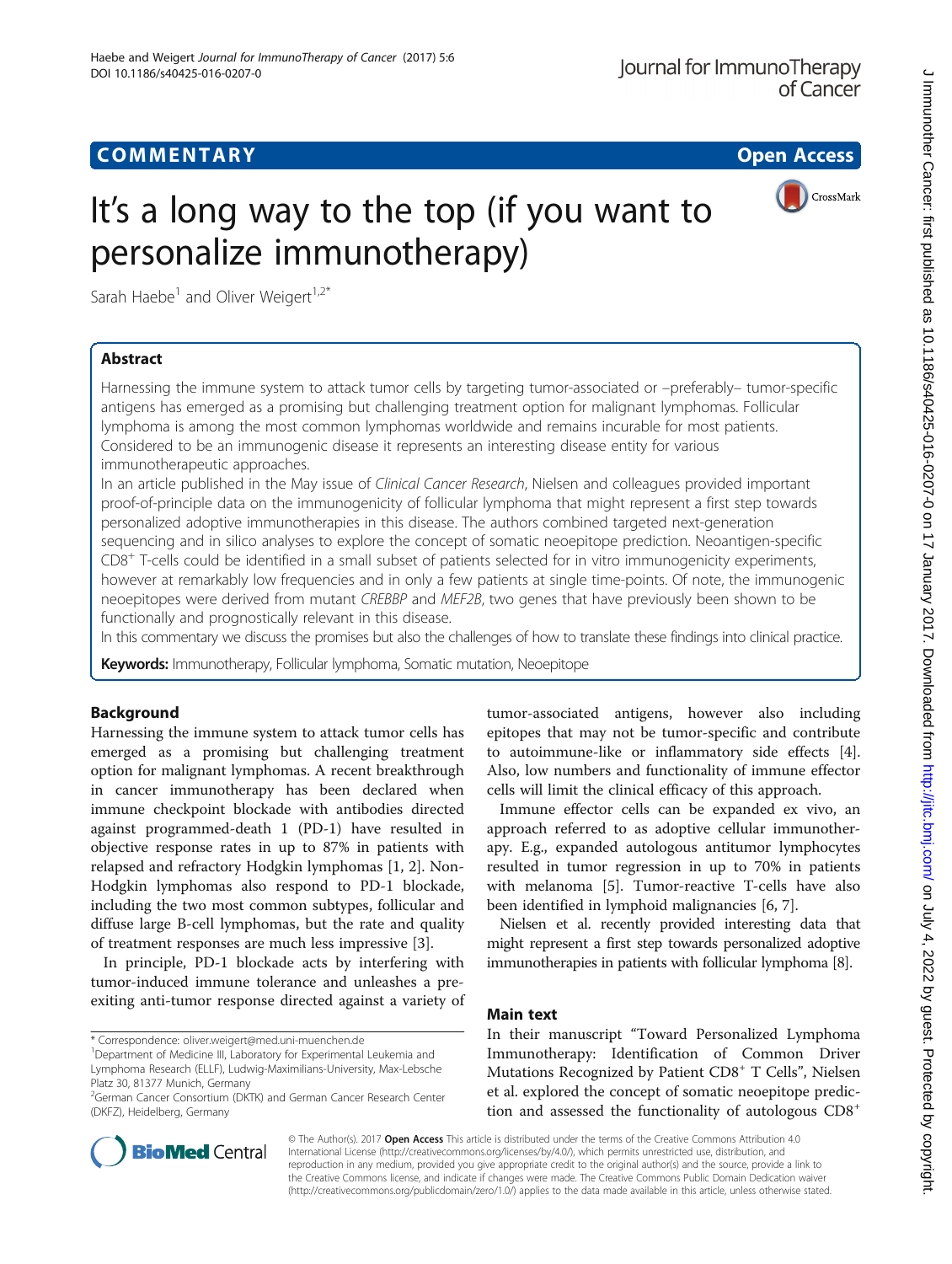## **COMMENTARY** Open Access

CrossMark

# It's a long way to the top (if you want to personalize immunotherapy)

Sarah Haebe<sup>1</sup> and Oliver Weigert<sup>1,2\*</sup>

## Abstract

Harnessing the immune system to attack tumor cells by targeting tumor-associated or –preferably– tumor-specific antigens has emerged as a promising but challenging treatment option for malignant lymphomas. Follicular lymphoma is among the most common lymphomas worldwide and remains incurable for most patients. Considered to be an immunogenic disease it represents an interesting disease entity for various immunotherapeutic approaches.

In an article published in the May issue of Clinical Cancer Research, Nielsen and colleagues provided important proof-of-principle data on the immunogenicity of follicular lymphoma that might represent a first step towards personalized adoptive immunotherapies in this disease. The authors combined targeted next-generation sequencing and in silico analyses to explore the concept of somatic neoepitope prediction. Neoantigen-specific  $CD8<sup>+</sup>$  T-cells could be identified in a small subset of patients selected for in vitro immunogenicity experiments, however at remarkably low frequencies and in only a few patients at single time-points. Of note, the immunogenic neoepitopes were derived from mutant CREBBP and MEF2B, two genes that have previously been shown to be functionally and prognostically relevant in this disease.

In this commentary we discuss the promises but also the challenges of how to translate these findings into clinical practice.

Keywords: Immunotherapy, Follicular lymphoma, Somatic mutation, Neoepitope

## Background

Harnessing the immune system to attack tumor cells has emerged as a promising but challenging treatment option for malignant lymphomas. A recent breakthrough in cancer immunotherapy has been declared when immune checkpoint blockade with antibodies directed against programmed-death 1 (PD-1) have resulted in objective response rates in up to 87% in patients with relapsed and refractory Hodgkin lymphomas [[1, 2\]](#page-2-0). Non-Hodgkin lymphomas also respond to PD-1 blockade, including the two most common subtypes, follicular and diffuse large B-cell lymphomas, but the rate and quality of treatment responses are much less impressive [\[3](#page-2-0)].

In principle, PD-1 blockade acts by interfering with tumor-induced immune tolerance and unleashes a preexiting anti-tumor response directed against a variety of

\* Correspondence: [oliver.weigert@med.uni-muenchen.de](mailto:oliver.weigert@med.uni-muenchen.de) <sup>1</sup>

tumor-associated antigens, however also including epitopes that may not be tumor-specific and contribute to autoimmune-like or inflammatory side effects [\[4](#page-2-0)]. Also, low numbers and functionality of immune effector cells will limit the clinical efficacy of this approach.

Immune effector cells can be expanded ex vivo, an approach referred to as adoptive cellular immunotherapy. E.g., expanded autologous antitumor lymphocytes resulted in tumor regression in up to 70% in patients with melanoma [\[5\]](#page-2-0). Tumor-reactive T-cells have also been identified in lymphoid malignancies [[6](#page-2-0), [7](#page-2-0)].

Nielsen et al. recently provided interesting data that might represent a first step towards personalized adoptive immunotherapies in patients with follicular lymphoma [[8](#page-2-0)].

## Main text

In their manuscript "Toward Personalized Lymphoma Immunotherapy: Identification of Common Driver Mutations Recognized by Patient  $CDS<sup>+</sup> T$  Cells", Nielsen et al. explored the concept of somatic neoepitope prediction and assessed the functionality of autologous CD8<sup>+</sup>



© The Author(s). 2017 Open Access This article is distributed under the terms of the Creative Commons Attribution 4.0 International License [\(http://creativecommons.org/licenses/by/4.0/](http://creativecommons.org/licenses/by/4.0/)), which permits unrestricted use, distribution, and reproduction in any medium, provided you give appropriate credit to the original author(s) and the source, provide a link to the Creative Commons license, and indicate if changes were made. The Creative Commons Public Domain Dedication waiver [\(http://creativecommons.org/publicdomain/zero/1.0/](http://creativecommons.org/publicdomain/zero/1.0/)) applies to the data made available in this article, unless otherwise stated.

<sup>&</sup>lt;sup>1</sup>Department of Medicine III, Laboratory for Experimental Leukemia and Lymphoma Research (ELLF), Ludwig-Maximilians-University, Max-Lebsche Platz 30, 81377 Munich, Germany

<sup>&</sup>lt;sup>2</sup>German Cancer Consortium (DKTK) and German Cancer Research Center (DKFZ), Heidelberg, Germany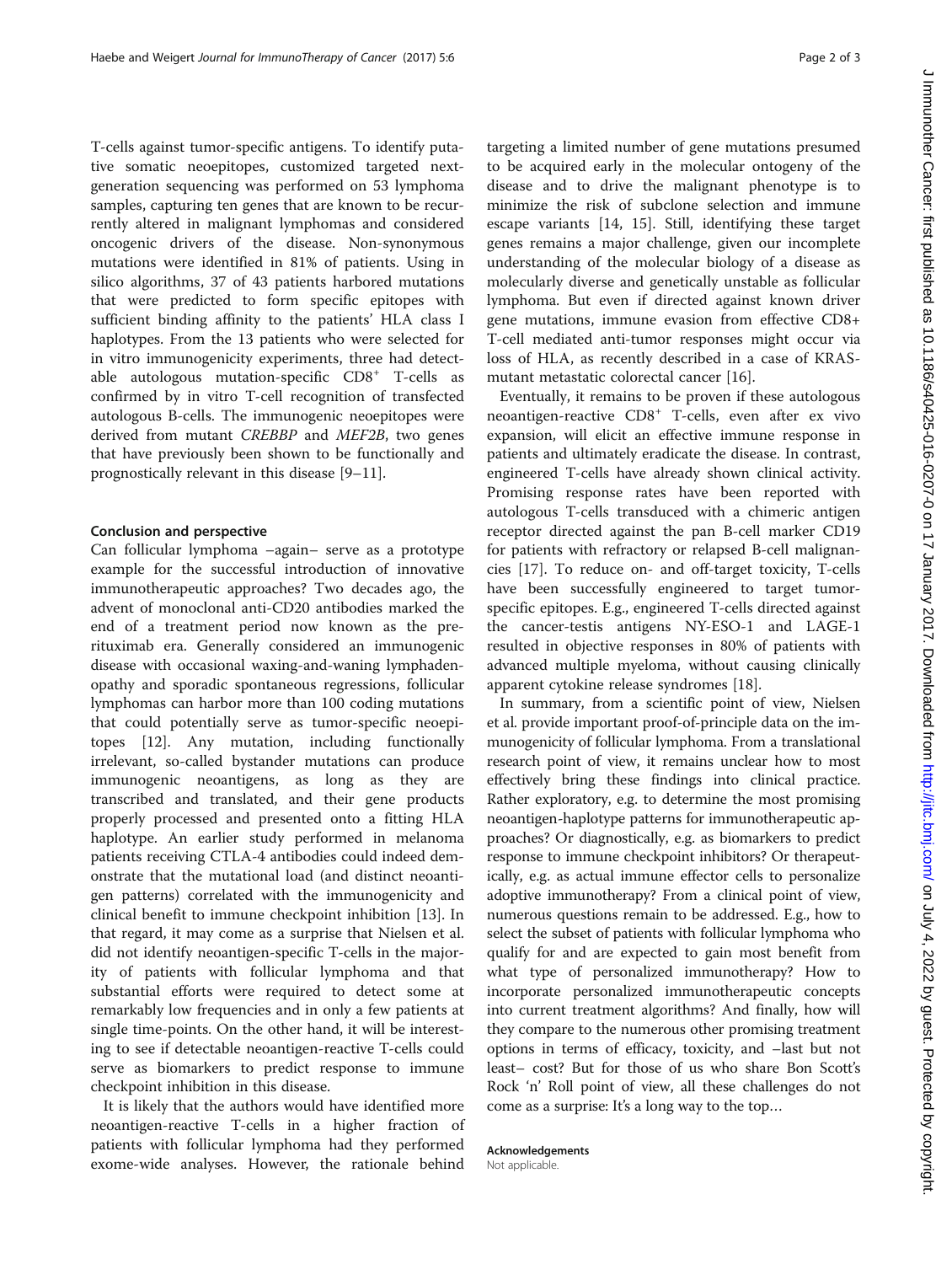T-cells against tumor-specific antigens. To identify putative somatic neoepitopes, customized targeted nextgeneration sequencing was performed on 53 lymphoma samples, capturing ten genes that are known to be recurrently altered in malignant lymphomas and considered oncogenic drivers of the disease. Non-synonymous mutations were identified in 81% of patients. Using in silico algorithms, 37 of 43 patients harbored mutations that were predicted to form specific epitopes with sufficient binding affinity to the patients' HLA class I haplotypes. From the 13 patients who were selected for in vitro immunogenicity experiments, three had detectable autologous mutation-specific CD8<sup>+</sup> T-cells as confirmed by in vitro T-cell recognition of transfected autologous B-cells. The immunogenic neoepitopes were derived from mutant CREBBP and MEF2B, two genes that have previously been shown to be functionally and prognostically relevant in this disease [[9](#page-2-0)–[11](#page-2-0)].

### Conclusion and perspective

Can follicular lymphoma –again– serve as a prototype example for the successful introduction of innovative immunotherapeutic approaches? Two decades ago, the advent of monoclonal anti-CD20 antibodies marked the end of a treatment period now known as the prerituximab era. Generally considered an immunogenic disease with occasional waxing-and-waning lymphadenopathy and sporadic spontaneous regressions, follicular lymphomas can harbor more than 100 coding mutations that could potentially serve as tumor-specific neoepitopes [[12\]](#page-2-0). Any mutation, including functionally irrelevant, so-called bystander mutations can produce immunogenic neoantigens, as long as they are transcribed and translated, and their gene products properly processed and presented onto a fitting HLA haplotype. An earlier study performed in melanoma patients receiving CTLA-4 antibodies could indeed demonstrate that the mutational load (and distinct neoantigen patterns) correlated with the immunogenicity and clinical benefit to immune checkpoint inhibition [\[13](#page-2-0)]. In that regard, it may come as a surprise that Nielsen et al. did not identify neoantigen-specific T-cells in the majority of patients with follicular lymphoma and that substantial efforts were required to detect some at remarkably low frequencies and in only a few patients at single time-points. On the other hand, it will be interesting to see if detectable neoantigen-reactive T-cells could serve as biomarkers to predict response to immune checkpoint inhibition in this disease.

It is likely that the authors would have identified more neoantigen-reactive T-cells in a higher fraction of patients with follicular lymphoma had they performed exome-wide analyses. However, the rationale behind

targeting a limited number of gene mutations presumed to be acquired early in the molecular ontogeny of the disease and to drive the malignant phenotype is to minimize the risk of subclone selection and immune escape variants [[14, 15](#page-2-0)]. Still, identifying these target genes remains a major challenge, given our incomplete understanding of the molecular biology of a disease as molecularly diverse and genetically unstable as follicular lymphoma. But even if directed against known driver gene mutations, immune evasion from effective CD8+ T-cell mediated anti-tumor responses might occur via loss of HLA, as recently described in a case of KRASmutant metastatic colorectal cancer [[16](#page-2-0)].

Eventually, it remains to be proven if these autologous neoantigen-reactive CD8<sup>+</sup> T-cells, even after ex vivo expansion, will elicit an effective immune response in patients and ultimately eradicate the disease. In contrast, engineered T-cells have already shown clinical activity. Promising response rates have been reported with autologous T-cells transduced with a chimeric antigen receptor directed against the pan B-cell marker CD19 for patients with refractory or relapsed B-cell malignancies [\[17](#page-2-0)]. To reduce on- and off-target toxicity, T-cells have been successfully engineered to target tumorspecific epitopes. E.g., engineered T-cells directed against the cancer-testis antigens NY-ESO-1 and LAGE-1 resulted in objective responses in 80% of patients with advanced multiple myeloma, without causing clinically apparent cytokine release syndromes [[18](#page-2-0)].

In summary, from a scientific point of view, Nielsen et al. provide important proof-of-principle data on the immunogenicity of follicular lymphoma. From a translational research point of view, it remains unclear how to most effectively bring these findings into clinical practice. Rather exploratory, e.g. to determine the most promising neoantigen-haplotype patterns for immunotherapeutic approaches? Or diagnostically, e.g. as biomarkers to predict response to immune checkpoint inhibitors? Or therapeutically, e.g. as actual immune effector cells to personalize adoptive immunotherapy? From a clinical point of view, numerous questions remain to be addressed. E.g., how to select the subset of patients with follicular lymphoma who qualify for and are expected to gain most benefit from what type of personalized immunotherapy? How to incorporate personalized immunotherapeutic concepts into current treatment algorithms? And finally, how will they compare to the numerous other promising treatment options in terms of efficacy, toxicity, and –last but not least– cost? But for those of us who share Bon Scott's Rock 'n' Roll point of view, all these challenges do not come as a surprise: It's a long way to the top…

Acknowledgements

Not applicable.